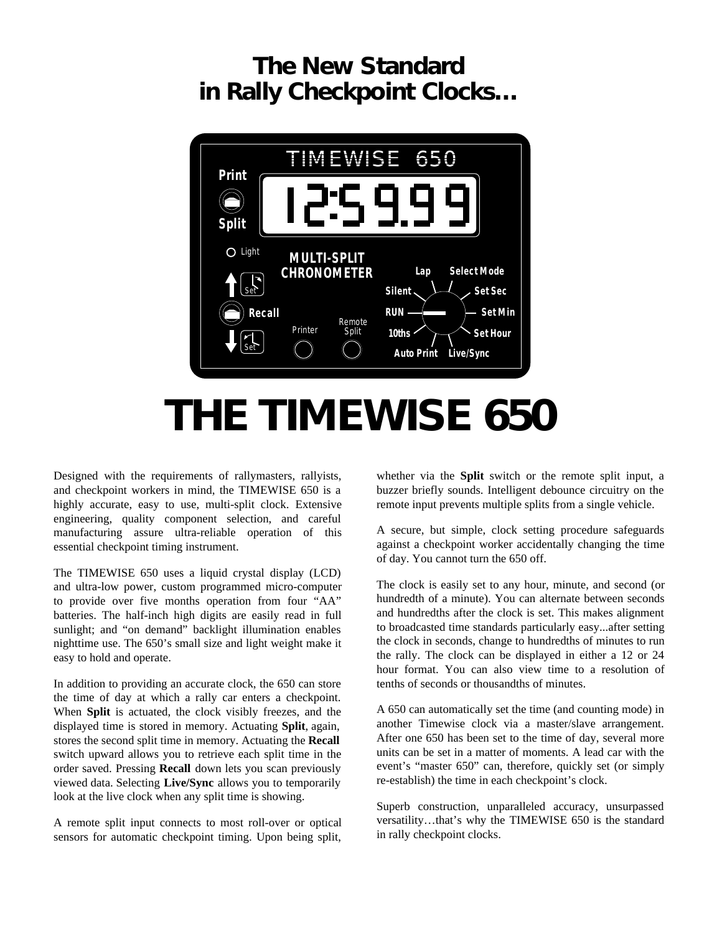## **The New Standard in Rally Checkpoint Clocks…**



## **THE TIMEWISE 650**

Designed with the requirements of rallymasters, rallyists, and checkpoint workers in mind, the TIMEWISE 650 is a highly accurate, easy to use, multi-split clock. Extensive engineering, quality component selection, and careful manufacturing assure ultra-reliable operation of this essential checkpoint timing instrument.

The TIMEWISE 650 uses a liquid crystal display (LCD) and ultra-low power, custom programmed micro-computer to provide over five months operation from four "AA" batteries. The half-inch high digits are easily read in full sunlight; and "on demand" backlight illumination enables nighttime use. The 650's small size and light weight make it easy to hold and operate.

In addition to providing an accurate clock, the 650 can store the time of day at which a rally car enters a checkpoint. When **Split** is actuated, the clock visibly freezes, and the displayed time is stored in memory. Actuating **Split**, again, stores the second split time in memory. Actuating the **Recall** switch upward allows you to retrieve each split time in the order saved. Pressing **Recall** down lets you scan previously viewed data. Selecting **Live/Sync** allows you to temporarily look at the live clock when any split time is showing.

A remote split input connects to most roll-over or optical sensors for automatic checkpoint timing. Upon being split,

whether via the **Split** switch or the remote split input, a buzzer briefly sounds. Intelligent debounce circuitry on the remote input prevents multiple splits from a single vehicle.

A secure, but simple, clock setting procedure safeguards against a checkpoint worker accidentally changing the time of day. You cannot turn the 650 off.

The clock is easily set to any hour, minute, and second (or hundredth of a minute). You can alternate between seconds and hundredths after the clock is set. This makes alignment to broadcasted time standards particularly easy...after setting the clock in seconds, change to hundredths of minutes to run the rally. The clock can be displayed in either a 12 or 24 hour format. You can also view time to a resolution of tenths of seconds or thousandths of minutes.

A 650 can automatically set the time (and counting mode) in another Timewise clock via a master/slave arrangement. After one 650 has been set to the time of day, several more units can be set in a matter of moments. A lead car with the event's "master 650" can, therefore, quickly set (or simply re-establish) the time in each checkpoint's clock.

Superb construction, unparalleled accuracy, unsurpassed versatility…that's why the TIMEWISE 650 is the standard in rally checkpoint clocks.